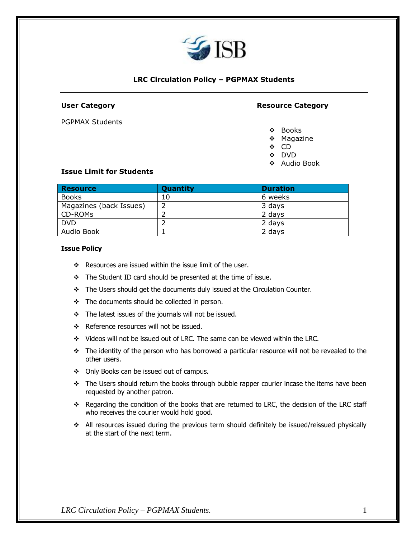

# **LRC Circulation Policy – PGPMAX Students**

PGPMAX Students

## **User Category Resource Category**

- ❖ Books
- ❖ Magazine
- ❖ CD
- ❖ DVD
- ❖ Audio Book

#### **Issue Limit for Students**

| Resource                | Quantity | <b>Duration</b> |
|-------------------------|----------|-----------------|
| <b>Books</b>            | 10       | 6 weeks         |
| Magazines (back Issues) |          | 3 days          |
| CD-ROMs                 |          | 2 days          |
| <b>DVD</b>              |          | 2 days          |
| Audio Book              |          | 2 days          |

#### **Issue Policy**

- ❖ Resources are issued within the issue limit of the user.
- ❖ The Student ID card should be presented at the time of issue.
- ❖ The Users should get the documents duly issued at the Circulation Counter.
- ❖ The documents should be collected in person.
- ❖ The latest issues of the journals will not be issued.
- ❖ Reference resources will not be issued.
- ❖ Videos will not be issued out of LRC. The same can be viewed within the LRC.
- ❖ The identity of the person who has borrowed a particular resource will not be revealed to the other users.
- ❖ Only Books can be issued out of campus.
- $\div$  The Users should return the books through bubble rapper courier incase the items have been requested by another patron.
- ❖ Regarding the condition of the books that are returned to LRC, the decision of the LRC staff who receives the courier would hold good.
- ❖ All resources issued during the previous term should definitely be issued/reissued physically at the start of the next term.

*LRC Circulation Policy – PGPMAX Students.* 1